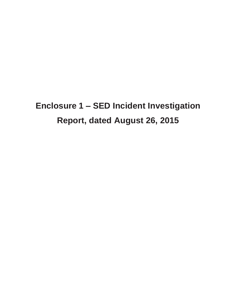# **Enclosure 1 – SED Incident Investigation Report, dated August 26, 2015**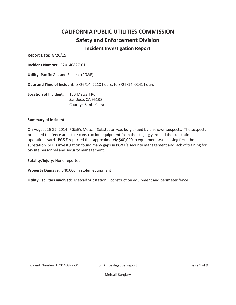## **CALIFORNIA PUBLIC UTILITIES COMMISSION Safety and Enforcement Division Incident Investigation Report**

**Report Date: 8/26/15** 

**Incident Number: E20140827-01** 

**Utility: Pacific Gas and Electric (PG&E)** 

Date and Time of Incident: 8/26/14, 2210 hours, to 8/27/14, 0241 hours

| Location of Incident: | 150 Metcalf Rd      |
|-----------------------|---------------------|
|                       | San Jose, CA 95138  |
|                       | County: Santa Clara |

### **Summary of Incident:**

On August 26-27, 2014, PG&E's Metcalf Substation was burglarized by unknown suspects. The suspects breached the fence and stole construction equipment from the staging yard and the substation operations yard. PG&E reported that approximately \$40,000 in equipment was missing from the substation. SED's investigation found many gaps in PG&E's security management and lack of training for on-site personnel and security management.

Fatality/Injury: None reported

Property Damage: \$40,000 in stolen equipment

Utility Facilities involved: Metcalf Substation - construction equipment and perimeter fence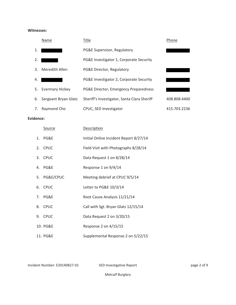### **Witnesses:**

|    | Name                   | Title                                       | Phone        |
|----|------------------------|---------------------------------------------|--------------|
| 1. |                        | PG&E Supervisor, Regulatory                 |              |
| 2. |                        | PG&E Investigator 1, Corporate Security     |              |
| 3. | Meredith Allen         | PG&E Director, Regulatory                   |              |
| 4. |                        | PG&E Investigator 2, Corporate Security     |              |
| 5. | <b>Evermary Hickey</b> | PG&E Director, Emergency Preparedness       |              |
| 6. | Sergeant Bryan Glatz   | Sheriff's Investigator, Santa Clara Sheriff | 408.808.4400 |
| 7. | Raymond Cho            | CPUC, SED Investigator                      | 415.703.2236 |

### Evidence:

| <b>Source</b> | <b>Description</b>                     |
|---------------|----------------------------------------|
| 1. PG&E       | Initial Online Incident Report 8/27/14 |
| 2. CPUC       | Field Visit with Photographs 8/28/14   |
| 3. CPUC       | Data Request 1 on 8/28/14              |
| 4. PG&E       | Response 1 on 9/4/14                   |
| 5. PG&E/CPUC  | Meeting debrief at CPUC 9/5/14         |
| 6. CPUC       | Letter to PG&E 10/3/14                 |
| 7. PG&E       | Root Cause Analysis 11/21/14           |
| 8. CPUC       | Call with Sgt. Bryan Glatz 12/15/14    |
| 9. CPUC       | Data Request 2 on 3/20/15              |
| 10. PG&E      | Response 2 on 4/15/15                  |
| 11. PG&E      | Supplemental Response 2 on 5/22/15     |

Incident Number: E20140827-01

\* SED Investigative Report that is a set of 9 page 2 of 9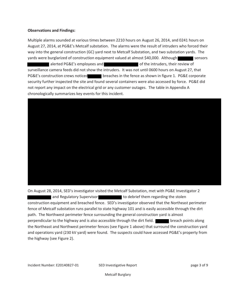### **Observations and Findings:**

Multiple alarms sounded at various times between 2210 hours on August 26, 2014, and 0241 hours on August 27, 2014, at PG&E's Metcalf substation. The alarms were the result of intruders who forced their way into the general construction (GC) yard next to Metcalf Substation, and two substation yards. The yards were burglarized of construction equipment valued at almost \$40,000. Although sensors alerted PG&E's employees and all and all and a of the intruders, their review of surveillance camera feeds did not show the intruders. It was not until 0600 hours on August 27, that PG&E's construction crews noticed breaches in the fence as shown in figure 1. PG&E corporate security further inspected the site and found several containers were also accessed by force. PG&E did not report any impact on the electrical grid or any customer outages. The table in Appendix A chronologically summarizes key events for this incident.

On August 28, 2014, SED's investigator visited the Metcalf Substation, met with PG&E Investigator 2 and Regulatory Supervisor and to debrief them regarding the stolen construction equipment and breached fence. SED's investigator observed that the Northeast perimeter fence of Metcalf substation runs parallel to state highway 101 and is easily accessible through the dirt path. The Northwest perimeter fence surrounding the general construction yard is almost perpendicular to the highway and is also accessible through the dirt field. **The lack of the breach points along** the Northeast and Northwest perimeter fences (see Figure 1 above) that surround the construction yard and operations yard (230 kV yard) were found. The suspects could have accessed PG&E's property from the highway (see Figure 2).

Incident Number: E20140827-01

SED Investigative Report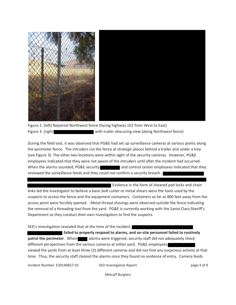

Figure 2. (left) Repaired Northwest fence (facing highway 101 from West to East) Figure 3. (right) with trailer obscuring view (along Northwest fence)

During the field visit, it was observed that PG&E had set up surveillance cameras at various points along the perimeter fence. The intruders cut the fence at strategic places behind a trailer and under a tree (see Figure 3). The other two locations were within sight of the security cameras. However, PG&E employees indicated that they were not aware of the intruders until after the incident had occurred. When the alarms sounded, PG&E security and control center employees indicated that they reviewed the surveillance feeds and they could not confirm a security breach.

Evidence in the form of sheared pad locks and chain links led the investigator to believe a basic bolt cutter or metal shears were the tools used by the suspects to access the fence and the equipment containers. Containers as far as 800 feet away from the access point were forcibly opened. Metal thread shavings were observed outside the fence indicating the removal of a threading tool from the yard. PG&E is currently working with the Santa Clara Sheriff's Department as they conduct their own investigation to find the suspects.

SED's investigation revealed that at the time of the incident,

failed to properly respond to alarms, and on-site personnel failed to routinely patrol the perimeter. When alarms were triggered, security staff did not adequately check different perspectives from the various cameras at either yard. PG&E employees viewed the yards from at least three (3) different cameras and did not find any suspicious activity at that time. Thus, the security staff cleared the alarms once they found no evidence of entry. Camera feeds

Incident Number: E20140827-01

SED Investigative Report

page 4 of 9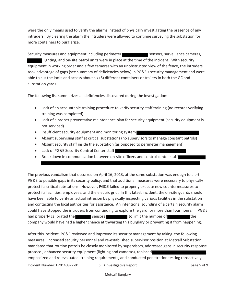were the only means used to verify the alarms instead of physically investigating the presence of any intruders. By clearing the alarm the intruders were allowed to continue surveying the substation for more containers to burglarize.

Security measures and equipment including perimeter states are sensors, surveillance cameras, lighting, and on-site patrol units were in place at the time of the incident. With security equipment in working order and a few cameras with an unobstructed view of the fence, the intruders took advantage of gaps (see summary of deficiencies below) in PG&E's security management and were able to cut the locks and access about six (6) different containers or trailers in both the GC and substation yards.

The following list summarizes all deficiencies discovered during the investigation:

- Lack of an accountable training procedure to verify security staff training (no records verifying training was completed)
- Lack of a proper preventative maintenance plan for security equipment (security equipment is not serviced)
- Insufficient security equipment and monitoring system
- Absent supervising staff at critical substations (no supervisors to manage constant patrols)
- Absent security staff inside the substation (as opposed to perimeter management)
- Lack of PG&E Security Control Center staff
- Breakdown in communication between on-site officers and control center staff

The previous vandalism that occurred on April 16, 2013, at the same substation was enough to alert PG&E to possible gaps in its security policy, and that additional measures were necessary to physically protect its critical substations. However, PG&E failed to properly execute new countermeasures to protect its facilities, employees, and the electric grid. In this latest incident, the on-site guards should have been able to verify an actual intrusion by physically inspecting various facilities in the substation and contacting the local authorities for assistance. An intentional sounding of a certain security alarm could have stopped the intruders from continuing to explore the yard for more than four hours. If PG&E had properly calibrated the sensors because to limit the number of the company would have had a higher chance at thwarting this burglary or preventing it from happening.

After this incident, PG&E reviewed and improved its security management by taking the following measures: increased security personnel and re-established supervisor position at Metcalf Substation, mandated that routine patrols be closely monitored by supervisors, addressed gaps in security response protocol, enhanced security equipment (lighting and cameras), replaced emphasized and re-evaluated training requirements, and conducted penetration testing (proactively Incident Number: E20140827-01 SED Investigative Report page 5 of 9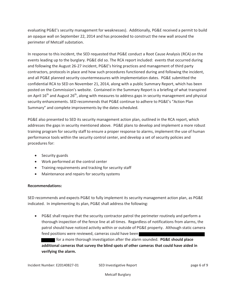evaluating PG&E's security management for weaknesses). Additionally, PG&E received a permit to build an opaque wall on September 22, 2014 and has proceeded to construct the new wall around the perimeter of Metcalf substation.

In response to this incident, the SED requested that PG&E conduct a Root Cause Analysis (RCA) on the events leading up to the burglary. PG&E did so. The RCA report included: events that occurred during and following the August 26-27 incident, PG&E's hiring practices and management of third party contractors, protocols in place and how such procedures functioned during and following the incident, and all PG&E planned security countermeasures with implementation dates. PG&E submitted the confidential RCA to SED on November 21, 2014, along with a public Summary Report, which has been posted on the Commission's website. Contained in the Summary Report is a briefing of what transpired on April  $16<sup>th</sup>$  and August  $26<sup>th</sup>$ , along with measures to address gaps in security management and physical security enhancements. SED recommends that PG&E continue to adhere to PG&E's "Action Plan Summary" and complete improvements by the dates scheduled.

PG&E also presented to SED its security management action plan, outlined in the RCA report, which addresses the gaps in security mentioned above. PG&E plans to develop and implement a more robust training program for security staff to ensure a proper response to alarms, implement the use of human performance tools within the security control center, and develop a set of security policies and procedures for:

- Security guards
- Work performed at the control center
- Training requirements and tracking for security staff
- Maintenance and repairs for security systems

### $\mathsf{Recommendations}\colon$

SED recommends and expects PG&E to fully implement its security management action plan, as PG&E indicated. In implementing its plan, PG&E shall address the following:

• PG&E shall require that the security contractor patrol the perimeter routinely and perform a thorough inspection of the fence line at all times. Regardless of notifications from alarms, the patrol should have noticed activity within or outside of PG&E property. Although static camera feed positions were reviewed, cameras could have been

for a more thorough investigation after the alarm sounded. PG&E should place additional cameras that survey the blind spots of other cameras that could have aided in verifying the alarm.

Incident Number: E20140827-01

\*"=E4BC860C8E4)4?>AC ?064 >5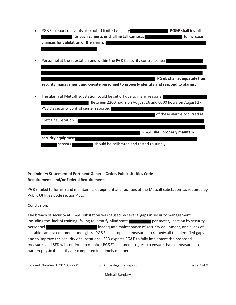- PG&E's report of events also noted limited visibility PG&E shall install for each camera, or shall install cameras to increase chances for validation of the alarm. |
- Personnel at the substation and within the PG&E security control center

**EXAMPLE PG&E shall adequately train** 

security management and on-site personnel to properly identify and respond to alarms.

The alarm at Metcalf substation could be set off due to many reasons, Retween 2200 hours on August 26 and 0300 hours on August 27

| PG&E's security control center reported |                                            |
|-----------------------------------------|--------------------------------------------|
|                                         | of these alarms occurred at                |
| Metcalf substation.                     |                                            |
|                                         |                                            |
|                                         | PG&E shall properly maintain               |
| security equipment                      |                                            |
| sensors                                 | should be calibrated and tested routinely. |

### Preliminary Statement of Pertinent General Order, Public Utilities Code **Requirements and/or Federal Requirements:**

PG&E failed to furnish and maintain its equipment and facilities at the Metcalf substation as required by Public Utilities Code section 451.

### **Conclusion:**

The breach of security at PG&E substation was caused by several gaps in security management, including the lack of training, failing to identify blind spots **the perimeter**, inaction by security personnel **Exercise 20** inadequate maintenance of security equipment, and a lack of suitable camera equipment and lights. PG&E has proposed measures to remedy all the identified gaps and to improve the security of substations. SED expects PG&E to fully implement the proposed measures and SED will continue to monitor PG&E's planned progress to ensure that all measures to harden physical security are completed in a timely manner.

Incident Number: E20140827-01

SED Investigative Report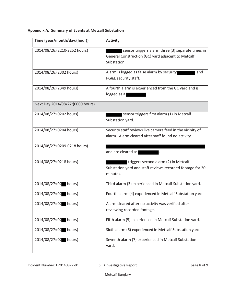| Time (year/month/day:(hour))      | <b>Activity</b>                                                                                                        |
|-----------------------------------|------------------------------------------------------------------------------------------------------------------------|
|                                   |                                                                                                                        |
| 2014/08/26:(2210-2252 hours)      | sensor triggers alarm three (3) separate times in<br>General Construction (GC) yard adjacent to Metcalf<br>Substation. |
| 2014/08/26:(2302 hours)           | Alarm is logged as false alarm by security<br>and<br>PG&E security staff.                                              |
| 2014/08/26:(2349 hours)           | A fourth alarm is experienced from the GC yard and is<br>logged as a                                                   |
| Next Day 2014/08/27: (0000 hours) |                                                                                                                        |
| 2014/08/27:(0202 hours)           | sensor triggers first alarm (1) in Metcalf<br>Substation yard.                                                         |
| 2014/08/27: (0204 hours)          | Security staff reviews live camera feed in the vicinity of<br>alarm. Alarm cleared after staff found no activity.      |
| 2014/08/27:(0209-0218 hours)      | and are cleared as                                                                                                     |
| 2014/08/27: (0218 hours)          | triggers second alarm (2) in Metcalf<br>Substation yard and staff reviews recorded footage for 30<br>minutes.          |
| 2014/08/27:(02 hours)             | Third alarm (3) experienced in Metcalf Substation yard.                                                                |
| 2014/08/27:(02 hours)             | Fourth alarm (4) experienced in Metcalf Substation yard.                                                               |
| 2014/08/27:(02 hours)             | Alarm cleared after no activity was verified after<br>reviewing recorded footage.                                      |
| 2014/08/27:(02 hours)             | Fifth alarm (5) experienced in Metcalf Substation yard.                                                                |
| 2014/08/27:(02 hours)             | Sixth alarm (6) experienced in Metcalf Substation yard.                                                                |
| 2014/08/27:(02 hours)             | Seventh alarm (7) experienced in Metcalf Substation<br>yard.                                                           |

### Appendix A. Summary of Events at Metcalf Substation

Incident Number: E20140827-01

SED Investigative Report